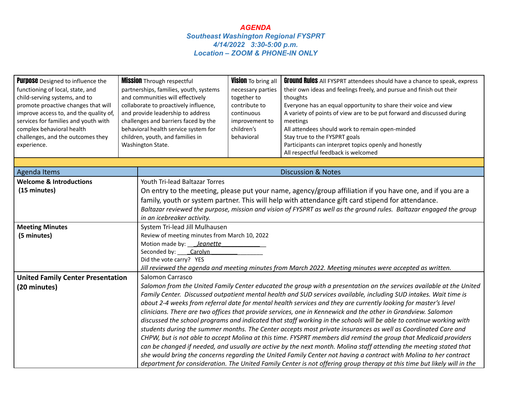| <b>Purpose</b> Designed to influence the<br>functioning of local, state, and<br>child-serving systems, and to<br>promote proactive changes that will<br>improve access to, and the quality of,<br>services for families and youth with<br>complex behavioral health<br>challenges, and the outcomes they<br>experience. | <b>Mission Through respectful</b><br>partnerships, families, youth, systems<br>and communities will effectively<br>collaborate to proactively influence,<br>and provide leadership to address<br>challenges and barriers faced by the<br>behavioral health service system for<br>children, youth, and families in<br>Washington State. |                                                                                                                      | Vision To bring all<br>necessary parties<br>together to<br>contribute to<br>continuous<br>improvement to<br>children's<br>behavioral | <b>Ground Rules</b> All FYSPRT attendees should have a chance to speak, express<br>their own ideas and feelings freely, and pursue and finish out their<br>thoughts<br>Everyone has an equal opportunity to share their voice and view<br>A variety of points of view are to be put forward and discussed during<br>meetings<br>All attendees should work to remain open-minded<br>Stay true to the FYSPRT goals<br>Participants can interpret topics openly and honestly<br>All respectful feedback is welcomed |  |
|-------------------------------------------------------------------------------------------------------------------------------------------------------------------------------------------------------------------------------------------------------------------------------------------------------------------------|----------------------------------------------------------------------------------------------------------------------------------------------------------------------------------------------------------------------------------------------------------------------------------------------------------------------------------------|----------------------------------------------------------------------------------------------------------------------|--------------------------------------------------------------------------------------------------------------------------------------|------------------------------------------------------------------------------------------------------------------------------------------------------------------------------------------------------------------------------------------------------------------------------------------------------------------------------------------------------------------------------------------------------------------------------------------------------------------------------------------------------------------|--|
| <b>Agenda Items</b>                                                                                                                                                                                                                                                                                                     |                                                                                                                                                                                                                                                                                                                                        |                                                                                                                      |                                                                                                                                      | <b>Discussion &amp; Notes</b>                                                                                                                                                                                                                                                                                                                                                                                                                                                                                    |  |
| <b>Welcome &amp; Introductions</b>                                                                                                                                                                                                                                                                                      |                                                                                                                                                                                                                                                                                                                                        | <b>Youth Tri-lead Baltazar Torres</b>                                                                                |                                                                                                                                      |                                                                                                                                                                                                                                                                                                                                                                                                                                                                                                                  |  |
| (15 minutes)                                                                                                                                                                                                                                                                                                            |                                                                                                                                                                                                                                                                                                                                        | On entry to the meeting, please put your name, agency/group affiliation if you have one, and if you are a            |                                                                                                                                      |                                                                                                                                                                                                                                                                                                                                                                                                                                                                                                                  |  |
|                                                                                                                                                                                                                                                                                                                         |                                                                                                                                                                                                                                                                                                                                        |                                                                                                                      |                                                                                                                                      | family, youth or system partner. This will help with attendance gift card stipend for attendance.                                                                                                                                                                                                                                                                                                                                                                                                                |  |
|                                                                                                                                                                                                                                                                                                                         |                                                                                                                                                                                                                                                                                                                                        | Baltazar reviewed the purpose, mission and vision of FYSPRT as well as the ground rules. Baltazar engaged the group  |                                                                                                                                      |                                                                                                                                                                                                                                                                                                                                                                                                                                                                                                                  |  |
|                                                                                                                                                                                                                                                                                                                         |                                                                                                                                                                                                                                                                                                                                        | in an icebreaker activity.                                                                                           |                                                                                                                                      |                                                                                                                                                                                                                                                                                                                                                                                                                                                                                                                  |  |
| <b>Meeting Minutes</b>                                                                                                                                                                                                                                                                                                  |                                                                                                                                                                                                                                                                                                                                        | System Tri-lead Jill Mulhausen                                                                                       |                                                                                                                                      |                                                                                                                                                                                                                                                                                                                                                                                                                                                                                                                  |  |
| (5 minutes)                                                                                                                                                                                                                                                                                                             |                                                                                                                                                                                                                                                                                                                                        | Review of meeting minutes from March 10, 2022                                                                        |                                                                                                                                      |                                                                                                                                                                                                                                                                                                                                                                                                                                                                                                                  |  |
|                                                                                                                                                                                                                                                                                                                         |                                                                                                                                                                                                                                                                                                                                        | Motion made by: __ Jeanette                                                                                          |                                                                                                                                      |                                                                                                                                                                                                                                                                                                                                                                                                                                                                                                                  |  |
|                                                                                                                                                                                                                                                                                                                         |                                                                                                                                                                                                                                                                                                                                        | Seconded by: Carolyn                                                                                                 |                                                                                                                                      |                                                                                                                                                                                                                                                                                                                                                                                                                                                                                                                  |  |
|                                                                                                                                                                                                                                                                                                                         |                                                                                                                                                                                                                                                                                                                                        | Did the vote carry? YES                                                                                              |                                                                                                                                      |                                                                                                                                                                                                                                                                                                                                                                                                                                                                                                                  |  |
|                                                                                                                                                                                                                                                                                                                         |                                                                                                                                                                                                                                                                                                                                        |                                                                                                                      |                                                                                                                                      | Jill reviewed the agenda and meeting minutes from March 2022. Meeting minutes were accepted as written.                                                                                                                                                                                                                                                                                                                                                                                                          |  |
| <b>United Family Center Presentation</b>                                                                                                                                                                                                                                                                                |                                                                                                                                                                                                                                                                                                                                        | Salomon Carrasco                                                                                                     |                                                                                                                                      |                                                                                                                                                                                                                                                                                                                                                                                                                                                                                                                  |  |
| (20 minutes)                                                                                                                                                                                                                                                                                                            |                                                                                                                                                                                                                                                                                                                                        | Salomon from the United Family Center educated the group with a presentation on the services available at the United |                                                                                                                                      |                                                                                                                                                                                                                                                                                                                                                                                                                                                                                                                  |  |
|                                                                                                                                                                                                                                                                                                                         |                                                                                                                                                                                                                                                                                                                                        |                                                                                                                      |                                                                                                                                      | Family Center. Discussed outpatient mental health and SUD services available, including SUD intakes. Wait time is                                                                                                                                                                                                                                                                                                                                                                                                |  |
|                                                                                                                                                                                                                                                                                                                         |                                                                                                                                                                                                                                                                                                                                        |                                                                                                                      |                                                                                                                                      | about 2-4 weeks from referral date for mental health services and they are currently looking for master's level                                                                                                                                                                                                                                                                                                                                                                                                  |  |
|                                                                                                                                                                                                                                                                                                                         |                                                                                                                                                                                                                                                                                                                                        |                                                                                                                      |                                                                                                                                      | clinicians. There are two offices that provide services, one in Kennewick and the other in Grandview. Salomon                                                                                                                                                                                                                                                                                                                                                                                                    |  |
|                                                                                                                                                                                                                                                                                                                         |                                                                                                                                                                                                                                                                                                                                        |                                                                                                                      |                                                                                                                                      | discussed the school programs and indicated that staff working in the schools will be able to continue working with                                                                                                                                                                                                                                                                                                                                                                                              |  |
|                                                                                                                                                                                                                                                                                                                         |                                                                                                                                                                                                                                                                                                                                        |                                                                                                                      |                                                                                                                                      | students during the summer months. The Center accepts most private insurances as well as Coordinated Care and                                                                                                                                                                                                                                                                                                                                                                                                    |  |
|                                                                                                                                                                                                                                                                                                                         |                                                                                                                                                                                                                                                                                                                                        |                                                                                                                      |                                                                                                                                      | CHPW, but is not able to accept Molina at this time. FYSPRT members did remind the group that Medicaid providers                                                                                                                                                                                                                                                                                                                                                                                                 |  |
|                                                                                                                                                                                                                                                                                                                         |                                                                                                                                                                                                                                                                                                                                        |                                                                                                                      |                                                                                                                                      | can be changed if needed, and usually are active by the next month. Molina staff attending the meeting stated that                                                                                                                                                                                                                                                                                                                                                                                               |  |
|                                                                                                                                                                                                                                                                                                                         |                                                                                                                                                                                                                                                                                                                                        |                                                                                                                      |                                                                                                                                      | she would bring the concerns regarding the United Family Center not having a contract with Molina to her contract                                                                                                                                                                                                                                                                                                                                                                                                |  |
|                                                                                                                                                                                                                                                                                                                         |                                                                                                                                                                                                                                                                                                                                        |                                                                                                                      |                                                                                                                                      | department for consideration. The United Family Center is not offering group therapy at this time but likely will in the                                                                                                                                                                                                                                                                                                                                                                                         |  |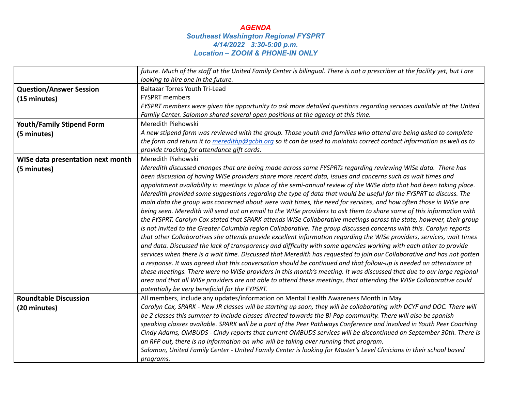|                                   | future. Much of the staff at the United Family Center is bilingual. There is not a prescriber at the facility yet, but I are |  |  |  |
|-----------------------------------|------------------------------------------------------------------------------------------------------------------------------|--|--|--|
|                                   | looking to hire one in the future.                                                                                           |  |  |  |
| <b>Question/Answer Session</b>    | <b>Baltazar Torres Youth Tri-Lead</b>                                                                                        |  |  |  |
| (15 minutes)                      | <b>FYSPRT</b> members                                                                                                        |  |  |  |
|                                   | FYSPRT members were given the opportunity to ask more detailed questions regarding services available at the United          |  |  |  |
|                                   | Family Center. Salomon shared several open positions at the agency at this time.                                             |  |  |  |
| <b>Youth/Family Stipend Form</b>  | Meredith Piehowski                                                                                                           |  |  |  |
| (5 minutes)                       | A new stipend form was reviewed with the group. Those youth and families who attend are being asked to complete              |  |  |  |
|                                   | the form and return it to meredithp@gcbh.org so it can be used to maintain correct contact information as well as to         |  |  |  |
|                                   | provide tracking for attendance gift cards.                                                                                  |  |  |  |
| WISe data presentation next month | Meredith Piehowski                                                                                                           |  |  |  |
| (5 minutes)                       | Meredith discussed changes that are being made across some FYSPRTs regarding reviewing WISe data. There has                  |  |  |  |
|                                   | been discussion of having WISe providers share more recent data, issues and concerns such as wait times and                  |  |  |  |
|                                   | appointment availability in meetings in place of the semi-annual review of the WISe data that had been taking place.         |  |  |  |
|                                   | Meredith provided some suggestions regarding the type of data that would be useful for the FYSPRT to discuss. The            |  |  |  |
|                                   | main data the group was concerned about were wait times, the need for services, and how often those in WISe are              |  |  |  |
|                                   | being seen. Meredith will send out an email to the WISe providers to ask them to share some of this information with         |  |  |  |
|                                   | the FYSPRT. Carolyn Cox stated that SPARK attends WISe Collaborative meetings across the state, however, their group         |  |  |  |
|                                   | is not invited to the Greater Columbia region Collaborative. The group discussed concerns with this. Carolyn reports         |  |  |  |
|                                   | that other Collaboratives she attends provide excellent information regarding the WISe providers, services, wait times       |  |  |  |
|                                   | and data. Discussed the lack of transparency and difficulty with some agencies working with each other to provide            |  |  |  |
|                                   | services when there is a wait time. Discussed that Meredith has requested to join our Collaborative and has not gotten       |  |  |  |
|                                   | a response. It was agreed that this conversation should be continued and that follow-up is needed on attendance at           |  |  |  |
|                                   | these meetings. There were no WISe providers in this month's meeting. It was discussed that due to our large regional        |  |  |  |
|                                   | area and that all WISe providers are not able to attend these meetings, that attending the WISe Collaborative could          |  |  |  |
|                                   | potentially be very beneficial for the FYPSRT.                                                                               |  |  |  |
| <b>Roundtable Discussion</b>      | All members, include any updates/information on Mental Health Awareness Month in May                                         |  |  |  |
| (20 minutes)                      | Carolyn Cox, SPARK - New JR classes will be starting up soon, they will be collaborating with DCYF and DOC. There will       |  |  |  |
|                                   | be 2 classes this summer to include classes directed towards the Bi-Pop community. There will also be spanish                |  |  |  |
|                                   | speaking classes available. SPARK will be a part of the Peer Pathways Conference and involved in Youth Peer Coaching         |  |  |  |
|                                   | Cindy Adams, OMBUDS - Cindy reports that current OMBUDS services will be discontinued on September 30th. There is            |  |  |  |
|                                   | an RFP out, there is no information on who will be taking over running that program.                                         |  |  |  |
|                                   | Salomon, United Family Center - United Family Center is looking for Master's Level Clinicians in their school based          |  |  |  |
|                                   | programs.                                                                                                                    |  |  |  |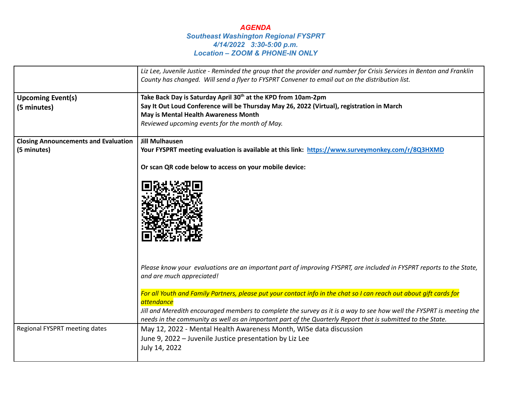|                                             | Liz Lee, Juvenile Justice - Reminded the group that the provider and number for Crisis Services in Benton and Franklin                            |  |  |  |
|---------------------------------------------|---------------------------------------------------------------------------------------------------------------------------------------------------|--|--|--|
|                                             | County has changed. Will send a flyer to FYSPRT Convener to email out on the distribution list.                                                   |  |  |  |
|                                             | Take Back Day is Saturday April 30 <sup>th</sup> at the KPD from 10am-2pm                                                                         |  |  |  |
| <b>Upcoming Event(s)</b>                    | Say It Out Loud Conference will be Thursday May 26, 2022 (Virtual), registration in March                                                         |  |  |  |
| (5 minutes)                                 | May is Mental Health Awareness Month                                                                                                              |  |  |  |
|                                             | Reviewed upcoming events for the month of May.                                                                                                    |  |  |  |
|                                             |                                                                                                                                                   |  |  |  |
| <b>Closing Announcements and Evaluation</b> | <b>Jill Mulhausen</b>                                                                                                                             |  |  |  |
| (5 minutes)                                 | Your FYSPRT meeting evaluation is available at this link: https://www.surveymonkey.com/r/8Q3HXMD                                                  |  |  |  |
|                                             | Or scan QR code below to access on your mobile device:                                                                                            |  |  |  |
|                                             |                                                                                                                                                   |  |  |  |
|                                             | Please know your evaluations are an important part of improving FYSPRT, are included in FYSPRT reports to the State,<br>and are much appreciated! |  |  |  |
|                                             | For all Youth and Family Partners, please put your contact info in the chat so I can reach out about gift cards for<br><i>attendance</i>          |  |  |  |
|                                             | Jill and Meredith encouraged members to complete the survey as it is a way to see how well the FYSPRT is meeting the                              |  |  |  |
|                                             | needs in the community as well as an important part of the Quarterly Report that is submitted to the State.                                       |  |  |  |
| Regional FYSPRT meeting dates               | May 12, 2022 - Mental Health Awareness Month, WISe data discussion                                                                                |  |  |  |
|                                             | June 9, 2022 - Juvenile Justice presentation by Liz Lee                                                                                           |  |  |  |
|                                             | July 14, 2022                                                                                                                                     |  |  |  |
|                                             |                                                                                                                                                   |  |  |  |